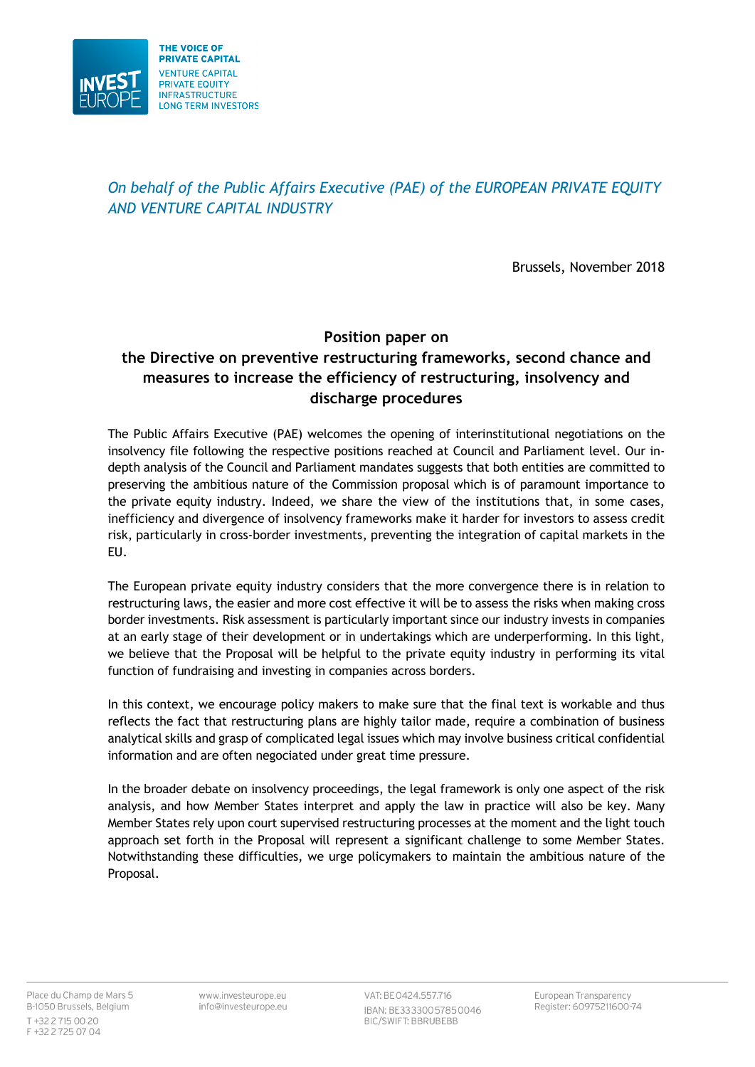

*On behalf of the Public Affairs Executive (PAE) of the EUROPEAN PRIVATE EQUITY AND VENTURE CAPITAL INDUSTRY*

Brussels, November 2018

# **Position paper on the Directive on preventive restructuring frameworks, second chance and measures to increase the efficiency of restructuring, insolvency and discharge procedures**

The Public Affairs Executive (PAE) welcomes the opening of interinstitutional negotiations on the insolvency file following the respective positions reached at Council and Parliament level. Our indepth analysis of the Council and Parliament mandates suggests that both entities are committed to preserving the ambitious nature of the Commission proposal which is of paramount importance to the private equity industry. Indeed, we share the view of the institutions that, in some cases, inefficiency and divergence of insolvency frameworks make it harder for investors to assess credit risk, particularly in cross-border investments, preventing the integration of capital markets in the EU.

The European private equity industry considers that the more convergence there is in relation to restructuring laws, the easier and more cost effective it will be to assess the risks when making cross border investments. Risk assessment is particularly important since our industry invests in companies at an early stage of their development or in undertakings which are underperforming. In this light, we believe that the Proposal will be helpful to the private equity industry in performing its vital function of fundraising and investing in companies across borders.

In this context, we encourage policy makers to make sure that the final text is workable and thus reflects the fact that restructuring plans are highly tailor made, require a combination of business analytical skills and grasp of complicated legal issues which may involve business critical confidential information and are often negociated under great time pressure.

In the broader debate on insolvency proceedings, the legal framework is only one aspect of the risk analysis, and how Member States interpret and apply the law in practice will also be key. Many Member States rely upon court supervised restructuring processes at the moment and the light touch approach set forth in the Proposal will represent a significant challenge to some Member States. Notwithstanding these difficulties, we urge policymakers to maintain the ambitious nature of the Proposal.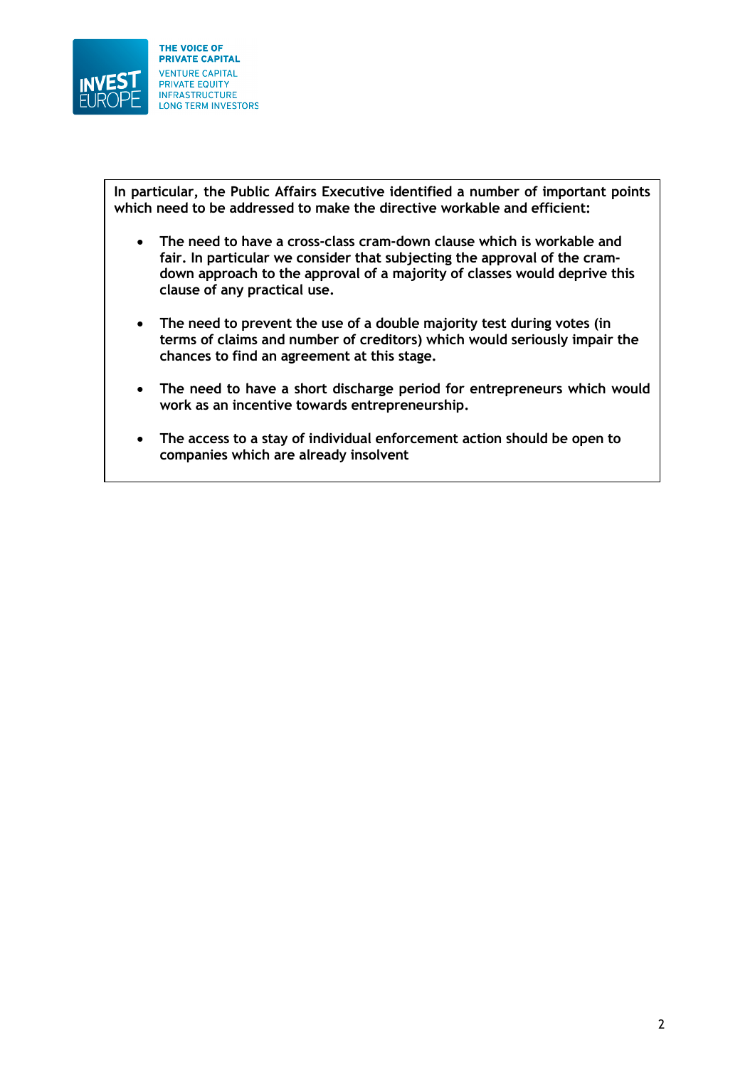

**In particular, the Public Affairs Executive identified a number of important points which need to be addressed to make the directive workable and efficient:** 

- **The need to have a cross-class cram-down clause which is workable and fair. In particular we consider that subjecting the approval of the cramdown approach to the approval of a majority of classes would deprive this clause of any practical use.**
- **The need to prevent the use of a double majority test during votes (in terms of claims and number of creditors) which would seriously impair the chances to find an agreement at this stage.**
- **The need to have a short discharge period for entrepreneurs which would work as an incentive towards entrepreneurship.**
- **The access to a stay of individual enforcement action should be open to companies which are already insolvent**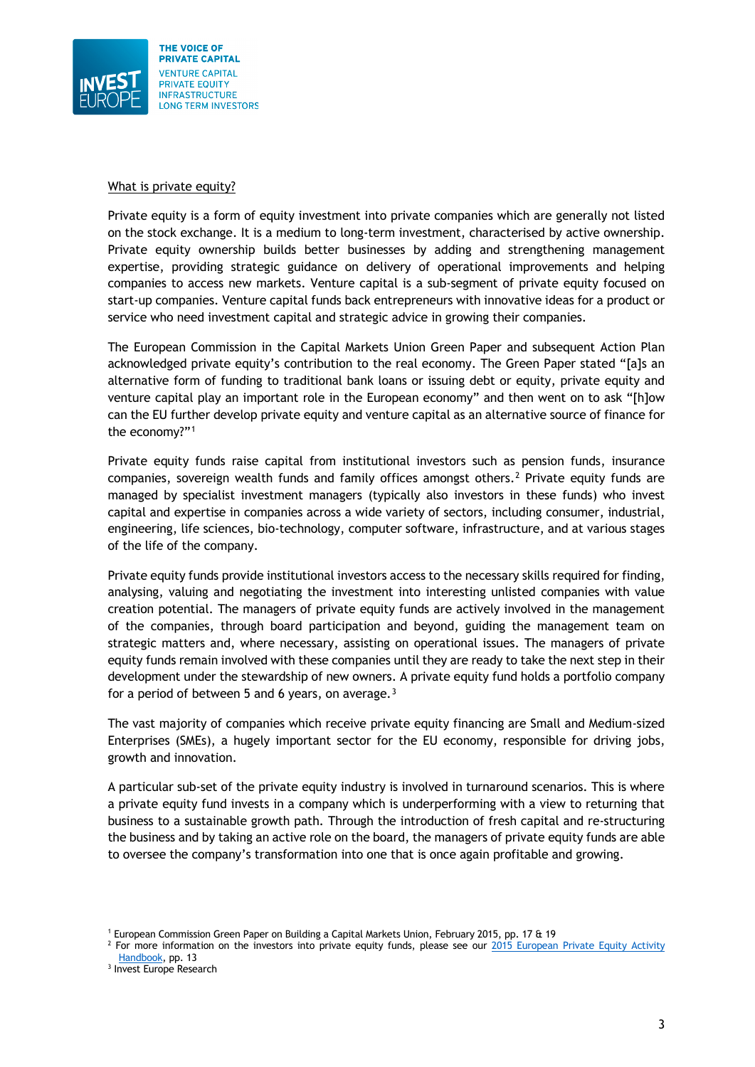

#### What is private equity?

Private equity is a form of equity investment into private companies which are generally not listed on the stock exchange. It is a medium to long-term investment, characterised by active ownership. Private equity ownership builds better businesses by adding and strengthening management expertise, providing strategic guidance on delivery of operational improvements and helping companies to access new markets. Venture capital is a sub-segment of private equity focused on start-up companies. Venture capital funds back entrepreneurs with innovative ideas for a product or service who need investment capital and strategic advice in growing their companies.

The European Commission in the Capital Markets Union Green Paper and subsequent Action Plan acknowledged private equity's contribution to the real economy. The Green Paper stated "[a]s an alternative form of funding to traditional bank loans or issuing debt or equity, private equity and venture capital play an important role in the European economy" and then went on to ask "[h]ow can the EU further develop private equity and venture capital as an alternative source of finance for the economy?"[1](#page-2-0)

Private equity funds raise capital from institutional investors such as pension funds, insurance companies, sovereign wealth funds and family offices amongst others.<sup>[2](#page-2-1)</sup> Private equity funds are managed by specialist investment managers (typically also investors in these funds) who invest capital and expertise in companies across a wide variety of sectors, including consumer, industrial, engineering, life sciences, bio-technology, computer software, infrastructure, and at various stages of the life of the company.

Private equity funds provide institutional investors access to the necessary skills required for finding, analysing, valuing and negotiating the investment into interesting unlisted companies with value creation potential. The managers of private equity funds are actively involved in the management of the companies, through board participation and beyond, guiding the management team on strategic matters and, where necessary, assisting on operational issues. The managers of private equity funds remain involved with these companies until they are ready to take the next step in their development under the stewardship of new owners. A private equity fund holds a portfolio company for a period of between 5 and 6 years, on average. $3$ 

The vast majority of companies which receive private equity financing are Small and Medium-sized Enterprises (SMEs), a hugely important sector for the EU economy, responsible for driving jobs, growth and innovation.

A particular sub-set of the private equity industry is involved in turnaround scenarios. This is where a private equity fund invests in a company which is underperforming with a view to returning that business to a sustainable growth path. Through the introduction of fresh capital and re-structuring the business and by taking an active role on the board, the managers of private equity funds are able to oversee the company's transformation into one that is once again profitable and growing.

<sup>1</sup> European Commission Green Paper on Building a Capital Markets Union, February 2015, pp. 17 & 19

<span id="page-2-1"></span><span id="page-2-0"></span> $<sup>2</sup>$  For more information on the investors into private equity funds, please see our 2015 European Private Equity Activity</sup> [Handbook,](https://www.investeurope.eu/media/476271/2015-european-private-equity-activity.pdf) pp. 13

<span id="page-2-2"></span><sup>&</sup>lt;sup>3</sup> Invest Europe Research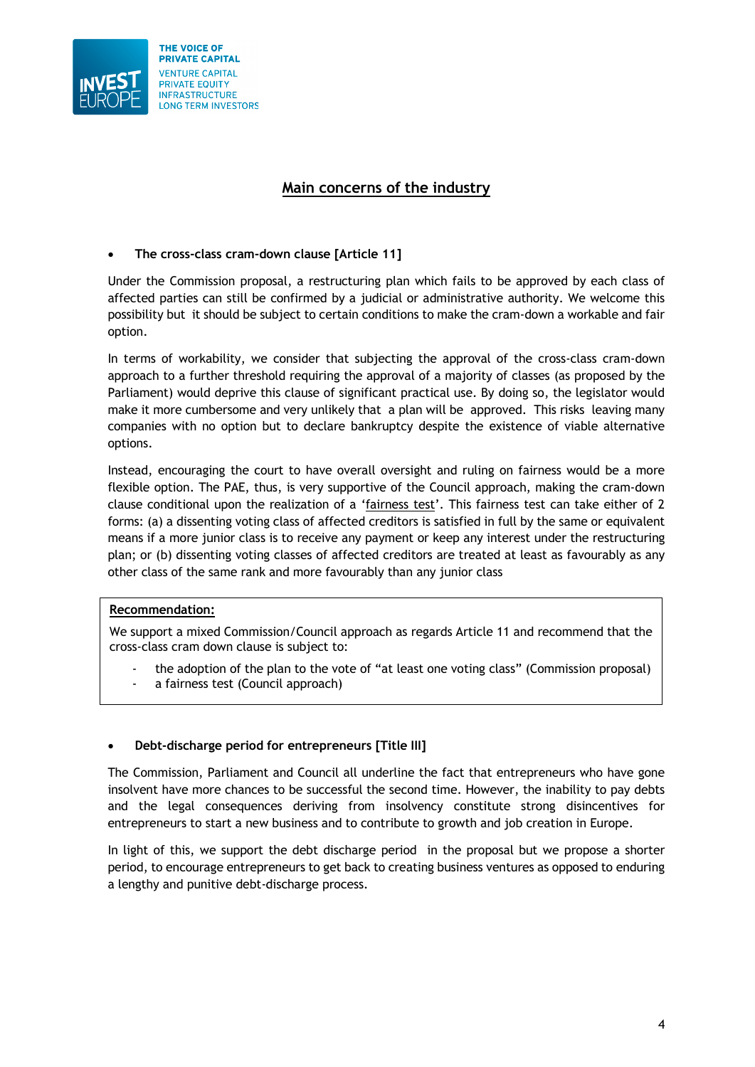

# **Main concerns of the industry**

# • **The cross-class cram-down clause [Article 11]**

Under the Commission proposal, a restructuring plan which fails to be approved by each class of affected parties can still be confirmed by a judicial or administrative authority. We welcome this possibility but it should be subject to certain conditions to make the cram-down a workable and fair option.

In terms of workability, we consider that subjecting the approval of the cross-class cram-down approach to a further threshold requiring the approval of a majority of classes (as proposed by the Parliament) would deprive this clause of significant practical use. By doing so, the legislator would make it more cumbersome and very unlikely that a plan will be approved. This risks leaving many companies with no option but to declare bankruptcy despite the existence of viable alternative options.

Instead, encouraging the court to have overall oversight and ruling on fairness would be a more flexible option. The PAE, thus, is very supportive of the Council approach, making the cram-down clause conditional upon the realization of a 'fairness test'. This fairness test can take either of 2 forms: (a) a dissenting voting class of affected creditors is satisfied in full by the same or equivalent means if a more junior class is to receive any payment or keep any interest under the restructuring plan; or (b) dissenting voting classes of affected creditors are treated at least as favourably as any other class of the same rank and more favourably than any junior class

#### **Recommendation:**

We support a mixed Commission/Council approach as regards Article 11 and recommend that the cross-class cram down clause is subject to:

- the adoption of the plan to the vote of "at least one voting class" (Commission proposal)
- a fairness test (Council approach)

#### • **Debt-discharge period for entrepreneurs [Title III]**

The Commission, Parliament and Council all underline the fact that entrepreneurs who have gone insolvent have more chances to be successful the second time. However, the inability to pay debts and the legal consequences deriving from insolvency constitute strong disincentives for entrepreneurs to start a new business and to contribute to growth and job creation in Europe.

In light of this, we support the debt discharge period in the proposal but we propose a shorter period, to encourage entrepreneurs to get back to creating business ventures as opposed to enduring a lengthy and punitive debt-discharge process.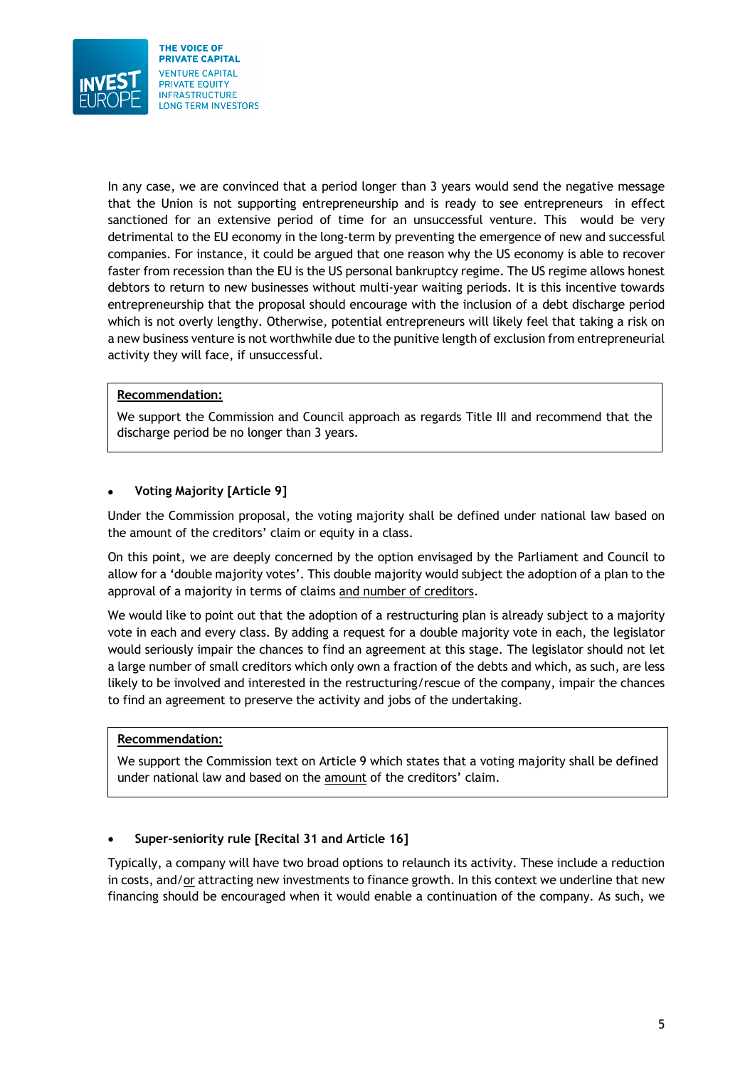

In any case, we are convinced that a period longer than 3 years would send the negative message that the Union is not supporting entrepreneurship and is ready to see entrepreneurs in effect sanctioned for an extensive period of time for an unsuccessful venture. This would be very detrimental to the EU economy in the long-term by preventing the emergence of new and successful companies. For instance, it could be argued that one reason why the US economy is able to recover faster from recession than the EU is the US personal bankruptcy regime. The US regime allows honest debtors to return to new businesses without multi-year waiting periods. It is this incentive towards entrepreneurship that the proposal should encourage with the inclusion of a debt discharge period which is not overly lengthy. Otherwise, potential entrepreneurs will likely feel that taking a risk on a new business venture is not worthwhile due to the punitive length of exclusion from entrepreneurial activity they will face, if unsuccessful.

# **Recommendation:**

We support the Commission and Council approach as regards Title III and recommend that the discharge period be no longer than 3 years.

# • **Voting Majority [Article 9]**

Under the Commission proposal, the voting majority shall be defined under national law based on the amount of the creditors' claim or equity in a class.

On this point, we are deeply concerned by the option envisaged by the Parliament and Council to allow for a 'double majority votes'. This double majority would subject the adoption of a plan to the approval of a majority in terms of claims and number of creditors.

We would like to point out that the adoption of a restructuring plan is already subject to a majority vote in each and every class. By adding a request for a double majority vote in each, the legislator would seriously impair the chances to find an agreement at this stage. The legislator should not let a large number of small creditors which only own a fraction of the debts and which, as such, are less likely to be involved and interested in the restructuring/rescue of the company, impair the chances to find an agreement to preserve the activity and jobs of the undertaking.

#### **Recommendation:**

We support the Commission text on Article 9 which states that a voting majority shall be defined under national law and based on the amount of the creditors' claim.

#### • **Super-seniority rule [Recital 31 and Article 16]**

Typically, a company will have two broad options to relaunch its activity. These include a reduction in costs, and/or attracting new investments to finance growth. In this context we underline that new financing should be encouraged when it would enable a continuation of the company. As such, we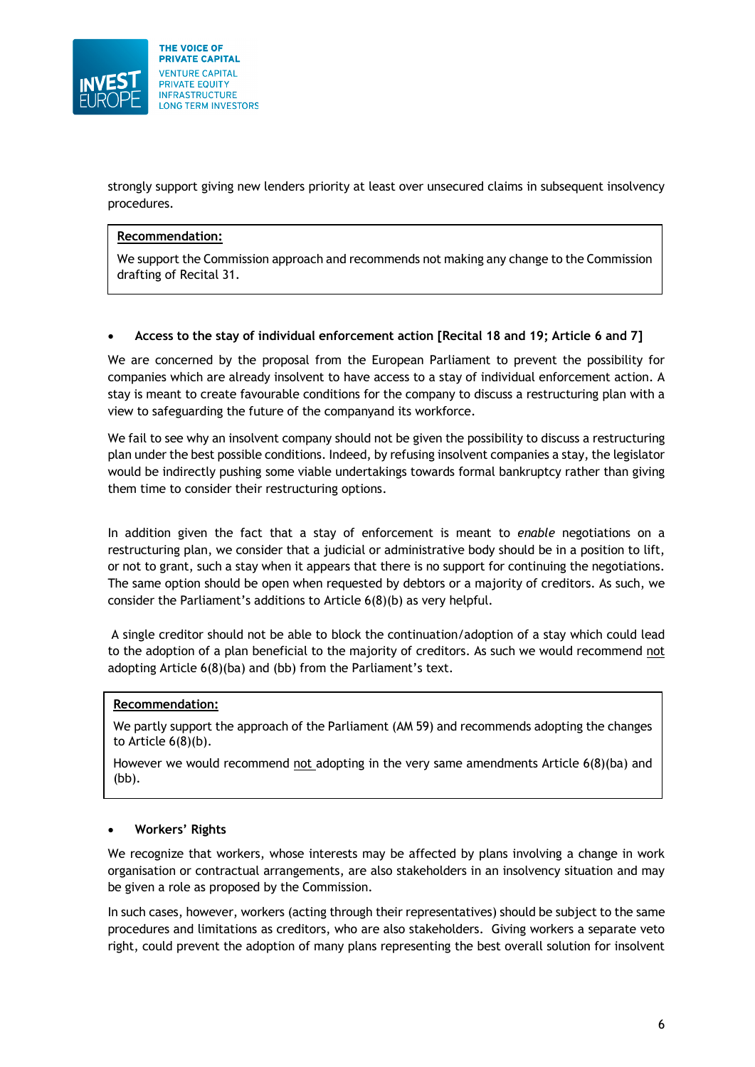

strongly support giving new lenders priority at least over unsecured claims in subsequent insolvency procedures.

#### **Recommendation:**

We support the Commission approach and recommends not making any change to the Commission drafting of Recital 31.

#### • **Access to the stay of individual enforcement action [Recital 18 and 19; Article 6 and 7]**

We are concerned by the proposal from the European Parliament to prevent the possibility for companies which are already insolvent to have access to a stay of individual enforcement action. A stay is meant to create favourable conditions for the company to discuss a restructuring plan with a view to safeguarding the future of the companyand its workforce.

We fail to see why an insolvent company should not be given the possibility to discuss a restructuring plan under the best possible conditions. Indeed, by refusing insolvent companies a stay, the legislator would be indirectly pushing some viable undertakings towards formal bankruptcy rather than giving them time to consider their restructuring options.

In addition given the fact that a stay of enforcement is meant to *enable* negotiations on a restructuring plan, we consider that a judicial or administrative body should be in a position to lift, or not to grant, such a stay when it appears that there is no support for continuing the negotiations. The same option should be open when requested by debtors or a majority of creditors. As such, we consider the Parliament's additions to Article 6(8)(b) as very helpful.

A single creditor should not be able to block the continuation/adoption of a stay which could lead to the adoption of a plan beneficial to the majority of creditors. As such we would recommend not adopting Article 6(8)(ba) and (bb) from the Parliament's text.

#### **Recommendation:**

We partly support the approach of the Parliament (AM 59) and recommends adopting the changes to Article  $6(8)(b)$ .

However we would recommend not adopting in the very same amendments Article 6(8)(ba) and (bb).

#### • **Workers' Rights**

We recognize that workers, whose interests may be affected by plans involving a change in work organisation or contractual arrangements, are also stakeholders in an insolvency situation and may be given a role as proposed by the Commission.

In such cases, however, workers (acting through their representatives) should be subject to the same procedures and limitations as creditors, who are also stakeholders. Giving workers a separate veto right, could prevent the adoption of many plans representing the best overall solution for insolvent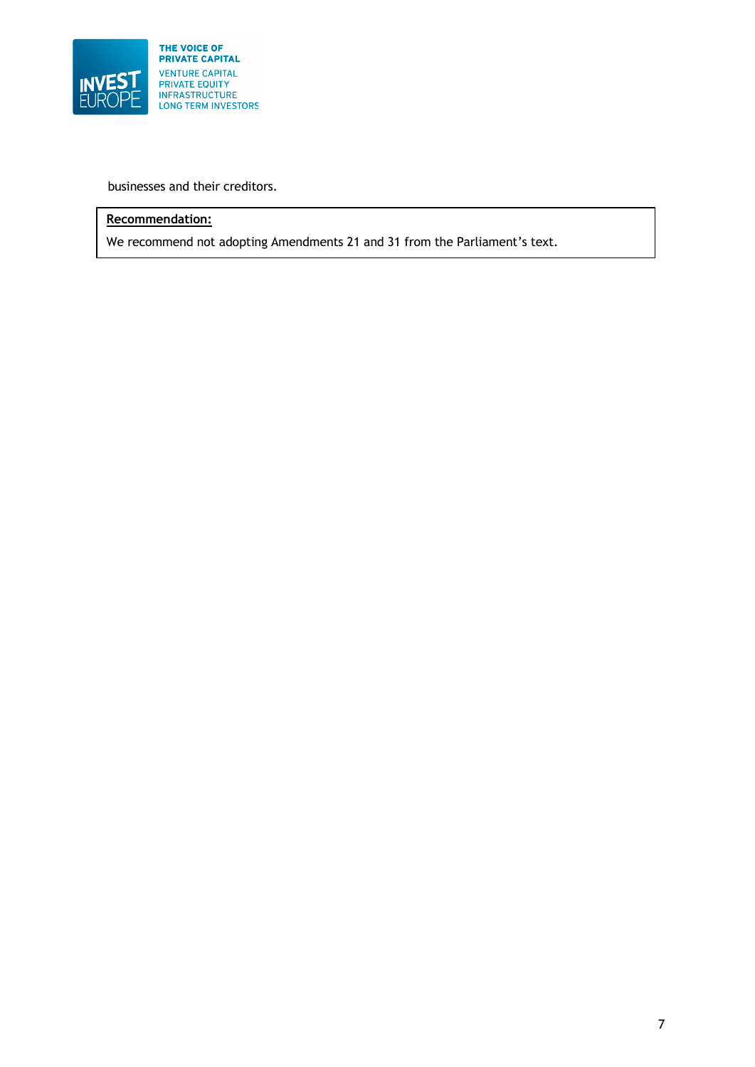

businesses and their creditors.

# **Recommendation:**

We recommend not adopting Amendments 21 and 31 from the Parliament's text.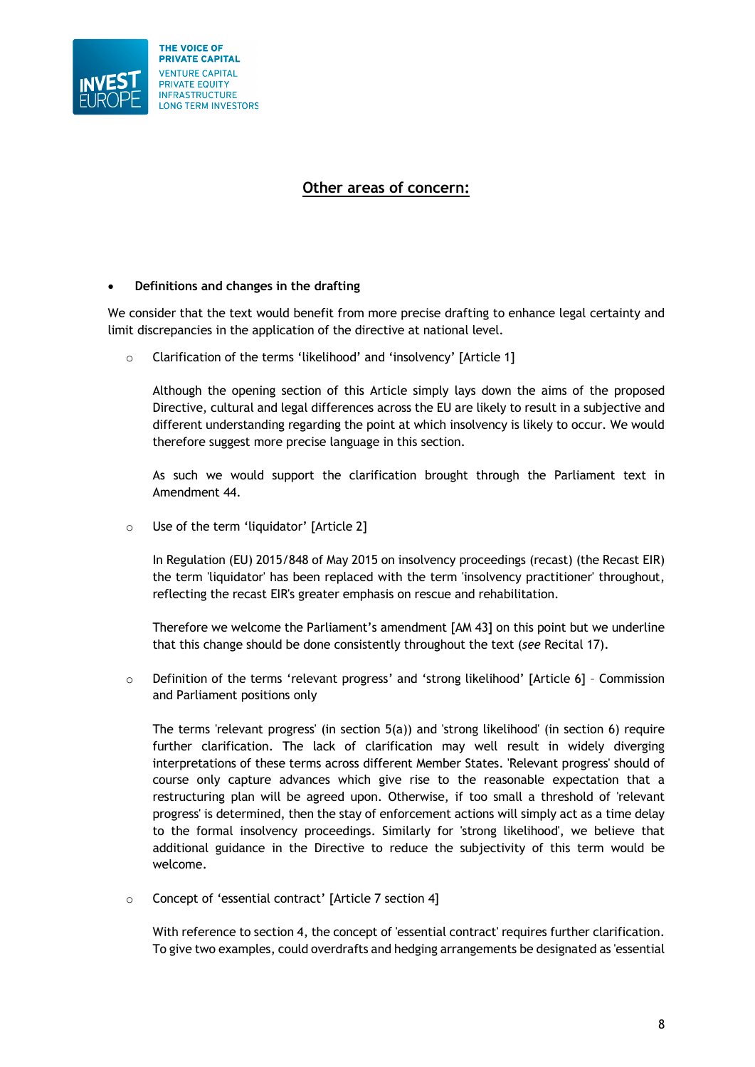

# **Other areas of concern:**

# • **Definitions and changes in the drafting**

We consider that the text would benefit from more precise drafting to enhance legal certainty and limit discrepancies in the application of the directive at national level.

o Clarification of the terms 'likelihood' and 'insolvency' [Article 1]

Although the opening section of this Article simply lays down the aims of the proposed Directive, cultural and legal differences across the EU are likely to result in a subjective and different understanding regarding the point at which insolvency is likely to occur. We would therefore suggest more precise language in this section.

As such we would support the clarification brought through the Parliament text in Amendment 44.

o Use of the term 'liquidator' [Article 2]

In Regulation (EU) 2015/848 of May 2015 on insolvency proceedings (recast) (the Recast EIR) the term 'liquidator' has been replaced with the term 'insolvency practitioner' throughout, reflecting the recast EIR's greater emphasis on rescue and rehabilitation.

Therefore we welcome the Parliament's amendment [AM 43] on this point but we underline that this change should be done consistently throughout the text (*see* Recital 17).

o Definition of the terms 'relevant progress' and 'strong likelihood' [Article 6] – Commission and Parliament positions only

The terms 'relevant progress' (in section 5(a)) and 'strong likelihood' (in section 6) require further clarification. The lack of clarification may well result in widely diverging interpretations of these terms across different Member States. 'Relevant progress' should of course only capture advances which give rise to the reasonable expectation that a restructuring plan will be agreed upon. Otherwise, if too small a threshold of 'relevant progress' is determined, then the stay of enforcement actions will simply act as a time delay to the formal insolvency proceedings. Similarly for 'strong likelihood', we believe that additional guidance in the Directive to reduce the subjectivity of this term would be welcome.

o Concept of 'essential contract' [Article 7 section 4]

With reference to section 4, the concept of 'essential contract' requires further clarification. To give two examples, could overdrafts and hedging arrangements be designated as 'essential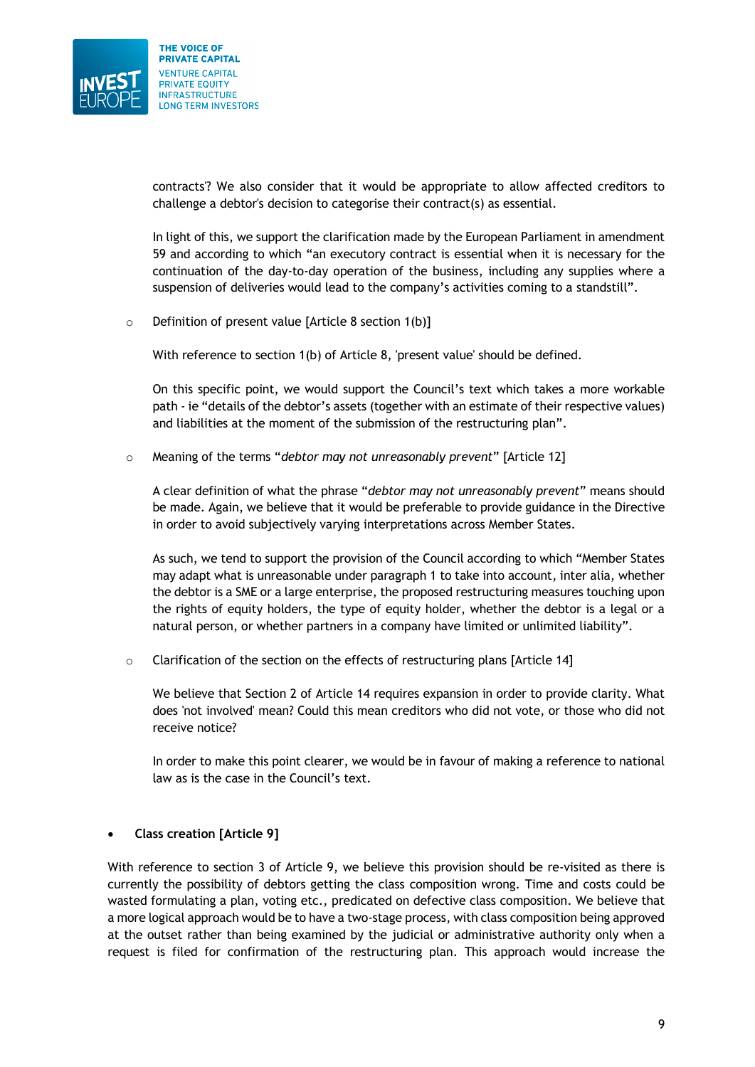

contracts'? We also consider that it would be appropriate to allow affected creditors to challenge a debtor's decision to categorise their contract(s) as essential.

In light of this, we support the clarification made by the European Parliament in amendment 59 and according to which "an executory contract is essential when it is necessary for the continuation of the day-to-day operation of the business, including any supplies where a suspension of deliveries would lead to the company's activities coming to a standstill".

 $\circ$  Definition of present value [Article 8 section 1(b)]

With reference to section 1(b) of Article 8, 'present value' should be defined.

On this specific point, we would support the Council's text which takes a more workable path - ie "details of the debtor's assets (together with an estimate of their respective values) and liabilities at the moment of the submission of the restructuring plan".

o Meaning of the terms "*debtor may not unreasonably prevent*" [Article 12]

A clear definition of what the phrase "*debtor may not unreasonably prevent*" means should be made. Again, we believe that it would be preferable to provide guidance in the Directive in order to avoid subjectively varying interpretations across Member States.

As such, we tend to support the provision of the Council according to which "Member States may adapt what is unreasonable under paragraph 1 to take into account, inter alia, whether the debtor is a SME or a large enterprise, the proposed restructuring measures touching upon the rights of equity holders, the type of equity holder, whether the debtor is a legal or a natural person, or whether partners in a company have limited or unlimited liability".

 $\circ$  Clarification of the section on the effects of restructuring plans [Article 14]

We believe that Section 2 of Article 14 requires expansion in order to provide clarity. What does 'not involved' mean? Could this mean creditors who did not vote, or those who did not receive notice?

In order to make this point clearer, we would be in favour of making a reference to national law as is the case in the Council's text.

#### • **Class creation [Article 9]**

With reference to section 3 of Article 9, we believe this provision should be re-visited as there is currently the possibility of debtors getting the class composition wrong. Time and costs could be wasted formulating a plan, voting etc., predicated on defective class composition. We believe that a more logical approach would be to have a two-stage process, with class composition being approved at the outset rather than being examined by the judicial or administrative authority only when a request is filed for confirmation of the restructuring plan. This approach would increase the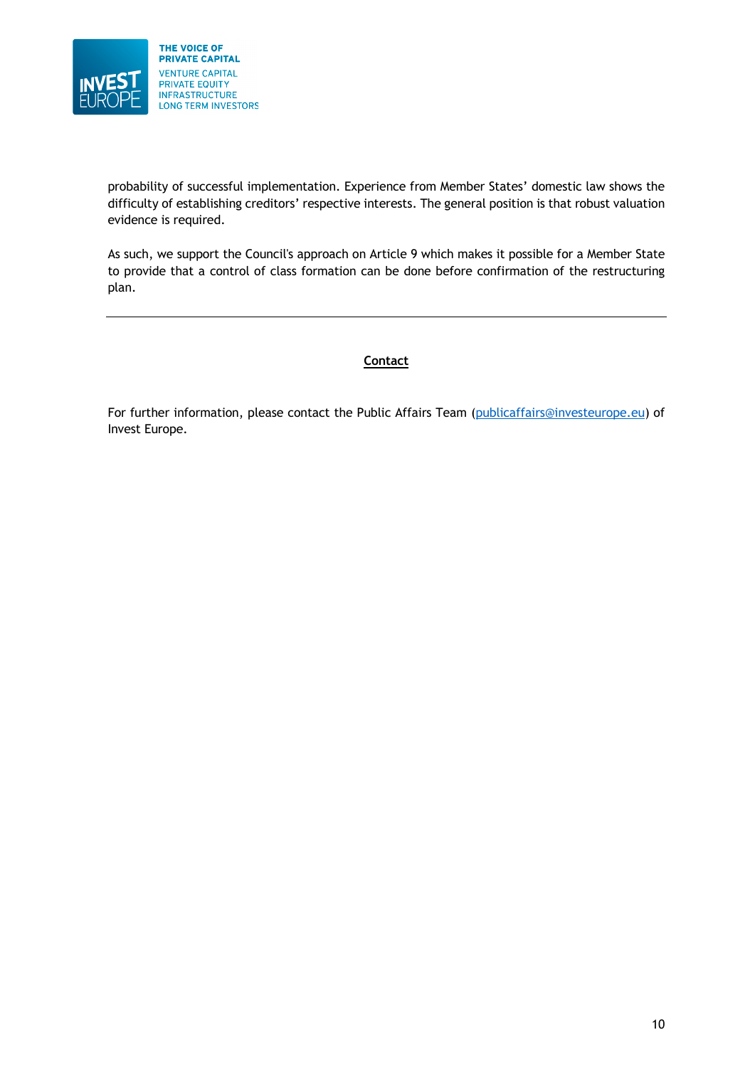

probability of successful implementation. Experience from Member States' domestic law shows the difficulty of establishing creditors' respective interests. The general position is that robust valuation evidence is required.

As such, we support the Council's approach on Article 9 which makes it possible for a Member State to provide that a control of class formation can be done before confirmation of the restructuring plan.

# **Contact**

For further information, please contact the Public Affairs Team (publicaffairs@investeurope.eu) of Invest Europe.